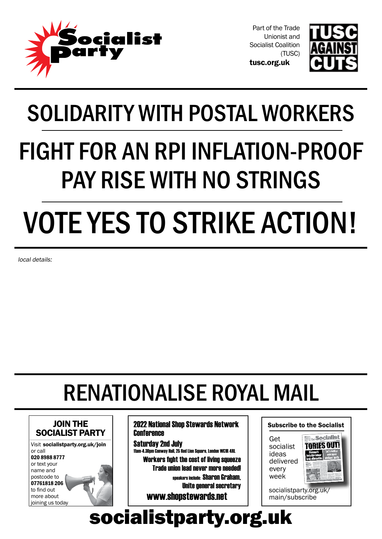

tusc.org.uk Part of the Trade Unionist and Socialist Coalition (TUSC)



SOLIDARITY WITH POSTAL WORKERS FIGHT FOR AN RPI INFLATION-PROOF PAY RISE WITH NO STRINGS VOTE YES TO STRIKE ACTION!

local details:

# renationalise royal mail



2022 National Shop Stewards Network **Conference** 

Saturday 2nd July 11am-4.30pm Conway Hall, 25 Red Lion Square, London WC1R 4RL Workers fight the cost of living squeeze Trade union lead never more needed! speakers include: Sharon Graham, Unite general secretary

www.shopstewards.net

#### Subscribe to the Socialist

Get socialist ideas delivered every week



socialistparty.org.uk/ main/subscribe